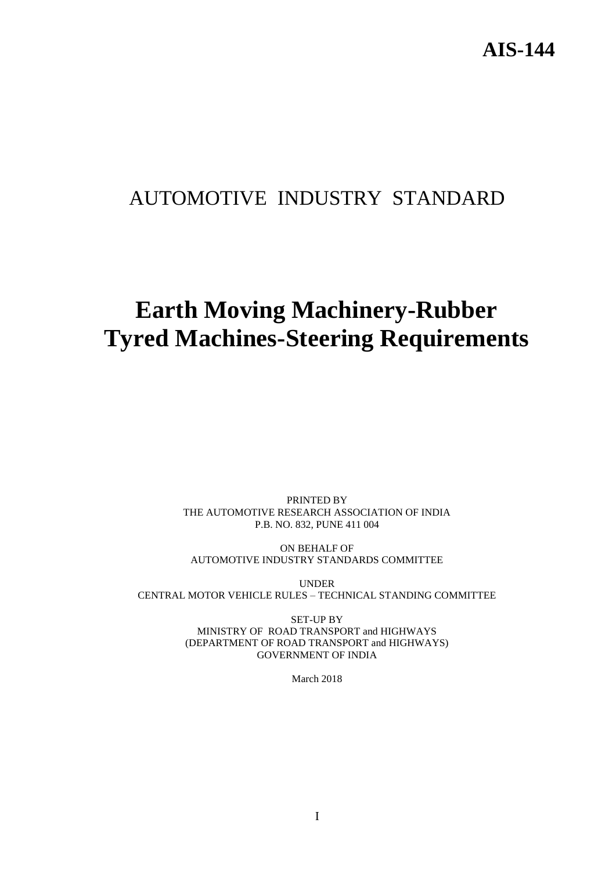## AUTOMOTIVE INDUSTRY STANDARD

# **Earth Moving Machinery-Rubber Tyred Machines-Steering Requirements**

PRINTED BY THE AUTOMOTIVE RESEARCH ASSOCIATION OF INDIA P.B. NO. 832, PUNE 411 004

ON BEHALF OF AUTOMOTIVE INDUSTRY STANDARDS COMMITTEE

UNDER CENTRAL MOTOR VEHICLE RULES – TECHNICAL STANDING COMMITTEE

> SET-UP BY MINISTRY OF ROAD TRANSPORT and HIGHWAYS (DEPARTMENT OF ROAD TRANSPORT and HIGHWAYS) GOVERNMENT OF INDIA

> > March 2018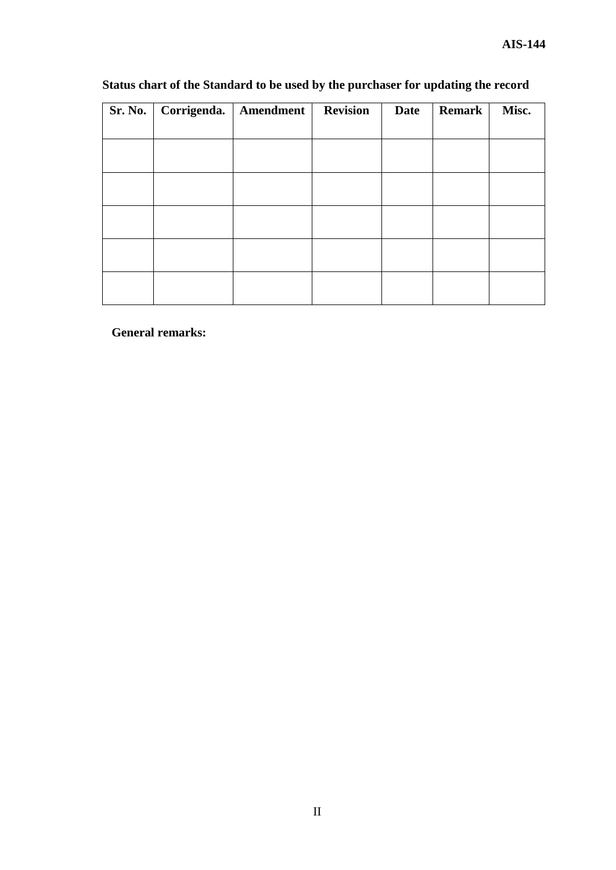| Sr. No.   Corrigenda.   Amendment | <b>Revision</b> | <b>Date</b> | <b>Remark</b> | Misc. |
|-----------------------------------|-----------------|-------------|---------------|-------|
|                                   |                 |             |               |       |
|                                   |                 |             |               |       |
|                                   |                 |             |               |       |
|                                   |                 |             |               |       |
|                                   |                 |             |               |       |
|                                   |                 |             |               |       |
|                                   |                 |             |               |       |
|                                   |                 |             |               |       |

## **Status chart of the Standard to be used by the purchaser for updating the record**

**General remarks:**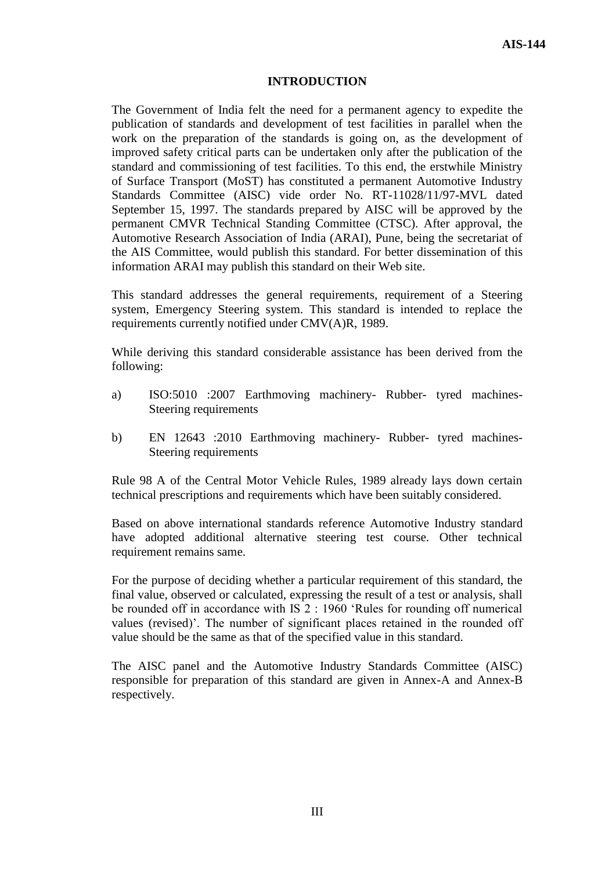#### **INTRODUCTION**

The Government of India felt the need for a permanent agency to expedite the publication of standards and development of test facilities in parallel when the work on the preparation of the standards is going on, as the development of improved safety critical parts can be undertaken only after the publication of the standard and commissioning of test facilities. To this end, the erstwhile Ministry of Surface Transport (MoST) has constituted a permanent Automotive Industry Standards Committee (AISC) vide order No. RT-11028/11/97-MVL dated September 15, 1997. The standards prepared by AISC will be approved by the permanent CMVR Technical Standing Committee (CTSC). After approval, the Automotive Research Association of India (ARAI), Pune, being the secretariat of the AIS Committee, would publish this standard. For better dissemination of this information ARAI may publish this standard on their Web site.

This standard addresses the general requirements, requirement of a Steering system, Emergency Steering system. This standard is intended to replace the requirements currently notified under CMV(A)R, 1989.

While deriving this standard considerable assistance has been derived from the following:

- a) ISO:5010 :2007 Earthmoving machinery- Rubber- tyred machines-Steering requirements
- b) EN 12643 :2010 Earthmoving machinery- Rubber- tyred machines-Steering requirements

Rule 98 A of the Central Motor Vehicle Rules, 1989 already lays down certain technical prescriptions and requirements which have been suitably considered.

Based on above international standards reference Automotive Industry standard have adopted additional alternative steering test course. Other technical requirement remains same.

For the purpose of deciding whether a particular requirement of this standard, the final value, observed or calculated, expressing the result of a test or analysis, shall be rounded off in accordance with IS 2 : 1960 'Rules for rounding off numerical values (revised)'. The number of significant places retained in the rounded off value should be the same as that of the specified value in this standard.

The AISC panel and the Automotive Industry Standards Committee (AISC) responsible for preparation of this standard are given in Annex-A and Annex-B respectively.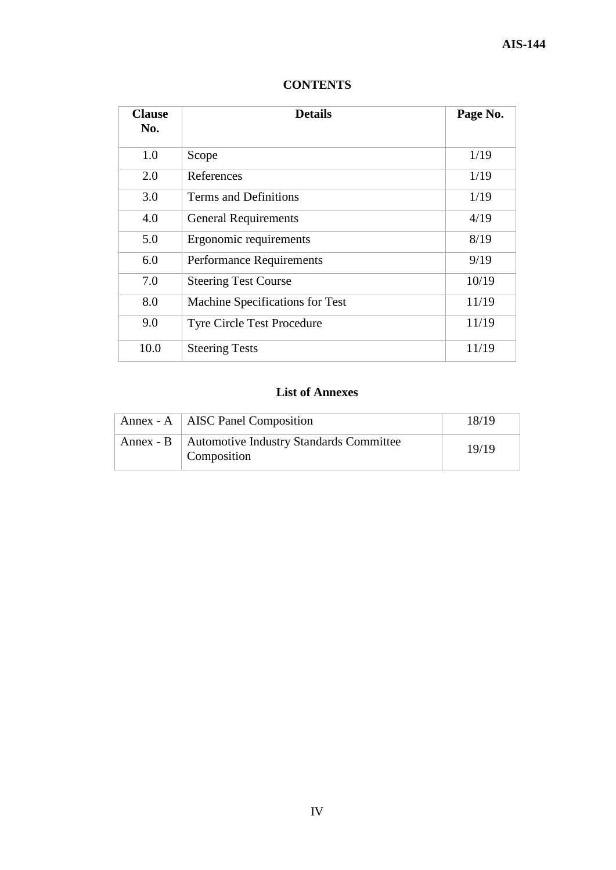| <b>Clause</b><br>No. | <b>Details</b>                    | Page No. |
|----------------------|-----------------------------------|----------|
| 1.0                  | Scope                             | 1/19     |
| 2.0                  | References                        | 1/19     |
| 3.0                  | <b>Terms and Definitions</b>      | 1/19     |
| 4.0                  | <b>General Requirements</b>       | 4/19     |
| 5.0                  | Ergonomic requirements            | 8/19     |
| 6.0                  | <b>Performance Requirements</b>   | 9/19     |
| 7.0                  | <b>Steering Test Course</b>       | 10/19    |
| 8.0                  | Machine Specifications for Test   | 11/19    |
| 9.0                  | <b>Tyre Circle Test Procedure</b> | 11/19    |
| 10.0                 | <b>Steering Tests</b>             | 11/19    |

## **CONTENTS**

## **List of Annexes**

| Annex - A   AISC Panel Composition                                 | 18/19 |
|--------------------------------------------------------------------|-------|
| Annex - B   Automotive Industry Standards Committee<br>Composition | 19/19 |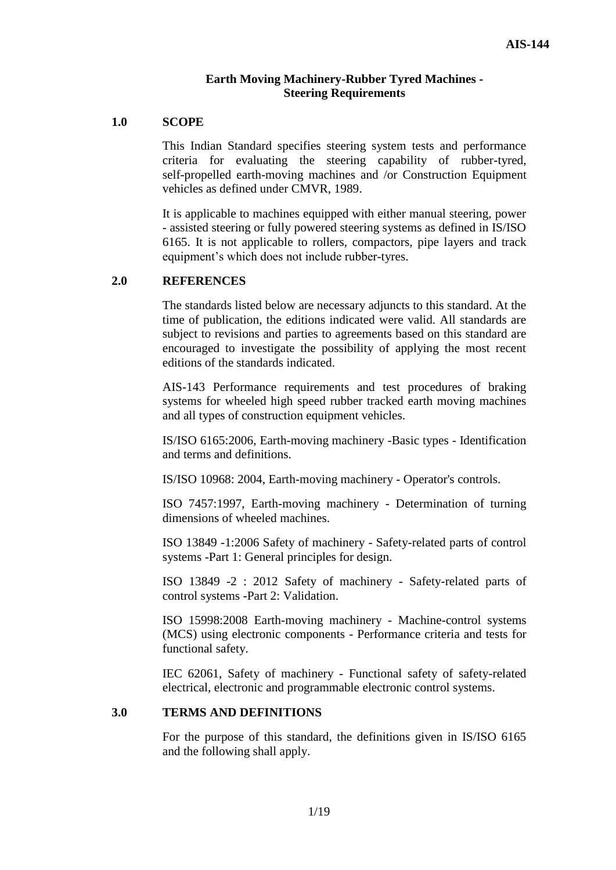## **Earth Moving Machinery-Rubber Tyred Machines - Steering Requirements**

#### **1.0 SCOPE**

This Indian Standard specifies steering system tests and performance criteria for evaluating the steering capability of rubber-tyred, self-propelled earth-moving machines and /or Construction Equipment vehicles as defined under CMVR, 1989.

It is applicable to machines equipped with either manual steering, power - assisted steering or fully powered steering systems as defined in IS/ISO 6165. It is not applicable to rollers, compactors, pipe layers and track equipment's which does not include rubber-tyres.

## **2.0 REFERENCES**

The standards listed below are necessary adjuncts to this standard. At the time of publication, the editions indicated were valid. All standards are subject to revisions and parties to agreements based on this standard are encouraged to investigate the possibility of applying the most recent editions of the standards indicated.

AIS-143 Performance requirements and test procedures of braking systems for wheeled high speed rubber tracked earth moving machines and all types of construction equipment vehicles.

IS/ISO 6165:2006, Earth-moving machinery -Basic types - Identification and terms and definitions.

IS/ISO 10968: 2004, Earth-moving machinery - Operator's controls.

ISO 7457:1997, Earth-moving machinery - Determination of turning dimensions of wheeled machines.

ISO 13849 -1:2006 Safety of machinery - Safety-related parts of control systems -Part 1: General principles for design.

ISO 13849 -2 : 2012 Safety of machinery - Safety-related parts of control systems -Part 2: Validation.

ISO 15998:2008 Earth-moving machinery - Machine-control systems (MCS) using electronic components - Performance criteria and tests for functional safety.

IEC 62061, Safety of machinery - Functional safety of safety-related electrical, electronic and programmable electronic control systems.

## **3.0 TERMS AND DEFINITIONS**

For the purpose of this standard, the definitions given in IS/ISO 6165 and the following shall apply.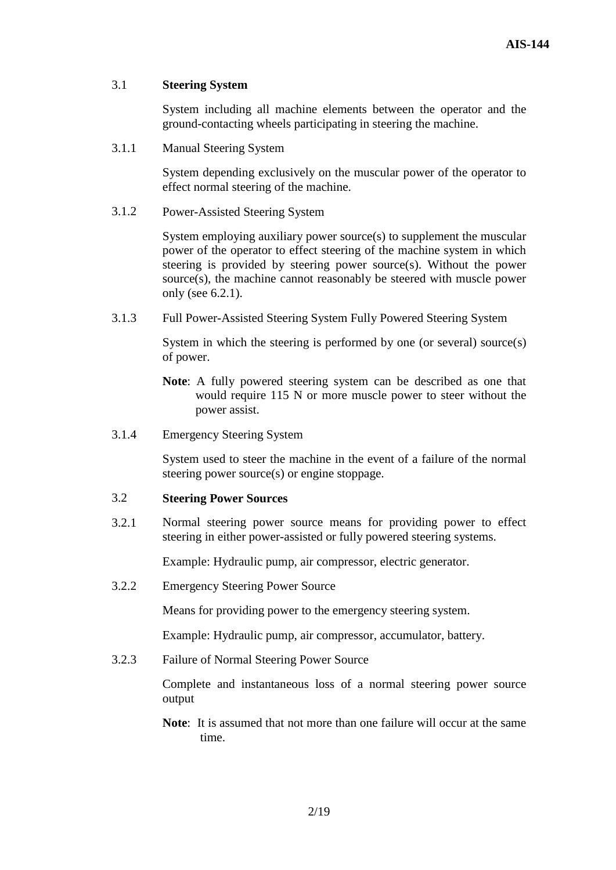## 3.1 **Steering System**

System including all machine elements between the operator and the ground-contacting wheels participating in steering the machine.

3.1.1 Manual Steering System

System depending exclusively on the muscular power of the operator to effect normal steering of the machine.

3.1.2 Power-Assisted Steering System

System employing auxiliary power source(s) to supplement the muscular power of the operator to effect steering of the machine system in which steering is provided by steering power source(s). Without the power source(s), the machine cannot reasonably be steered with muscle power only (see 6.2.1).

3.1.3 Full Power-Assisted Steering System Fully Powered Steering System

System in which the steering is performed by one (or several) source(s) of power.

- **Note**: A fully powered steering system can be described as one that would require 115 N or more muscle power to steer without the power assist.
- 3.1.4 Emergency Steering System

System used to steer the machine in the event of a failure of the normal steering power source(s) or engine stoppage.

## 3.2 **Steering Power Sources**

3.2.1 Normal steering power source means for providing power to effect steering in either power-assisted or fully powered steering systems.

Example: Hydraulic pump, air compressor, electric generator.

3.2.2 Emergency Steering Power Source

Means for providing power to the emergency steering system.

Example: Hydraulic pump, air compressor, accumulator, battery.

3.2.3 Failure of Normal Steering Power Source

Complete and instantaneous loss of a normal steering power source output

**Note**: It is assumed that not more than one failure will occur at the same time.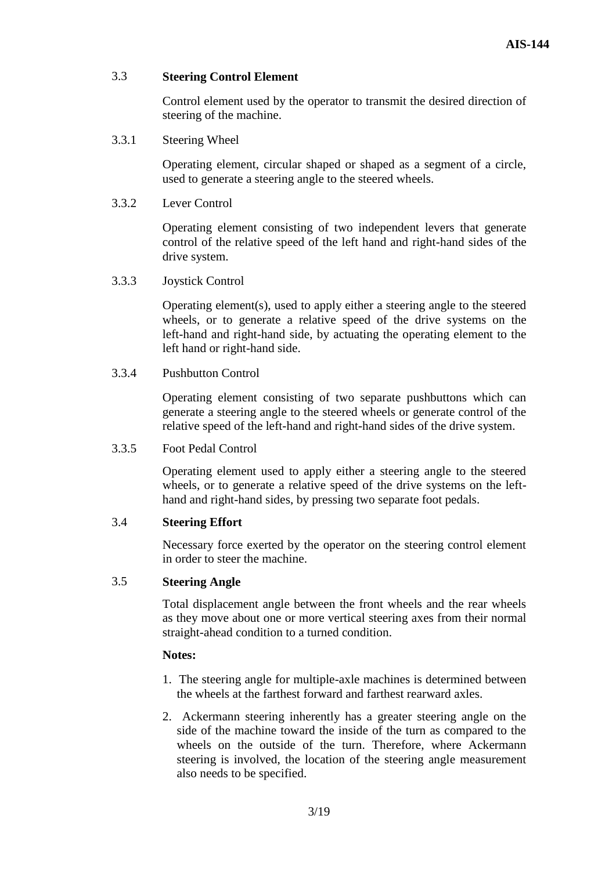## 3.3 **Steering Control Element**

Control element used by the operator to transmit the desired direction of steering of the machine.

3.3.1 Steering Wheel

Operating element, circular shaped or shaped as a segment of a circle, used to generate a steering angle to the steered wheels.

3.3.2 Lever Control

Operating element consisting of two independent levers that generate control of the relative speed of the left hand and right-hand sides of the drive system.

3.3.3 Joystick Control

Operating element(s), used to apply either a steering angle to the steered wheels, or to generate a relative speed of the drive systems on the left-hand and right-hand side, by actuating the operating element to the left hand or right-hand side.

## 3.3.4 Pushbutton Control

Operating element consisting of two separate pushbuttons which can generate a steering angle to the steered wheels or generate control of the relative speed of the left-hand and right-hand sides of the drive system.

#### 3.3.5 Foot Pedal Control

Operating element used to apply either a steering angle to the steered wheels, or to generate a relative speed of the drive systems on the lefthand and right-hand sides, by pressing two separate foot pedals.

## 3.4 **Steering Effort**

Necessary force exerted by the operator on the steering control element in order to steer the machine.

#### 3.5 **Steering Angle**

Total displacement angle between the front wheels and the rear wheels as they move about one or more vertical steering axes from their normal straight-ahead condition to a turned condition.

#### **Notes:**

- 1. The steering angle for multiple-axle machines is determined between the wheels at the farthest forward and farthest rearward axles.
- 2. Ackermann steering inherently has a greater steering angle on the side of the machine toward the inside of the turn as compared to the wheels on the outside of the turn. Therefore, where Ackermann steering is involved, the location of the steering angle measurement also needs to be specified.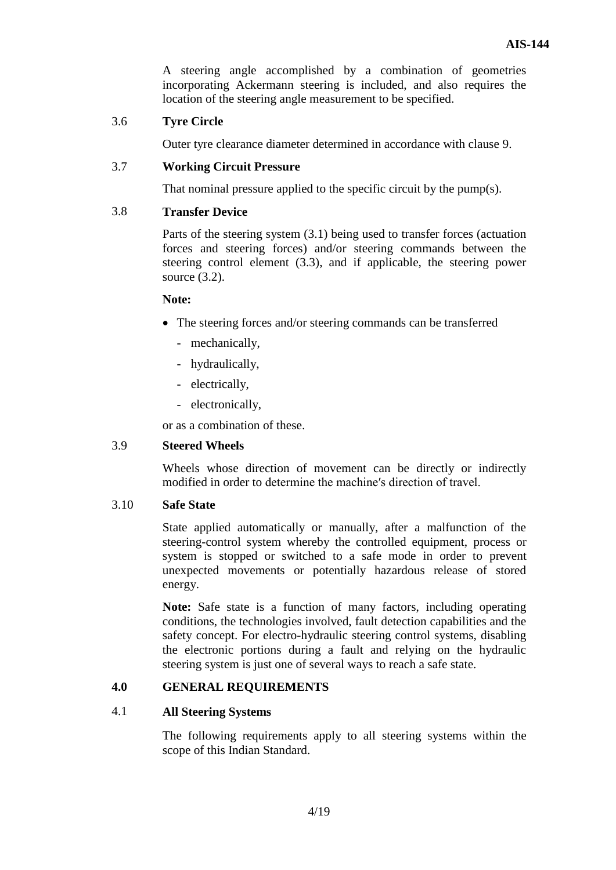A steering angle accomplished by a combination of geometries incorporating Ackermann steering is included, and also requires the location of the steering angle measurement to be specified.

## 3.6 **Tyre Circle**

Outer tyre clearance diameter determined in accordance with clause 9.

## 3.7 **Working Circuit Pressure**

That nominal pressure applied to the specific circuit by the pump(s).

## 3.8 **Transfer Device**

Parts of the steering system (3.1) being used to transfer forces (actuation forces and steering forces) and/or steering commands between the steering control element (3.3), and if applicable, the steering power source (3.2).

#### **Note:**

- The steering forces and/or steering commands can be transferred
	- mechanically,
	- hydraulically,
	- electrically,
	- electronically,

or as a combination of these.

#### 3.9 **Steered Wheels**

Wheels whose direction of movement can be directly or indirectly modified in order to determine the machine′s direction of travel.

#### 3.10 **Safe State**

State applied automatically or manually, after a malfunction of the steering-control system whereby the controlled equipment, process or system is stopped or switched to a safe mode in order to prevent unexpected movements or potentially hazardous release of stored energy.

**Note:** Safe state is a function of many factors, including operating conditions, the technologies involved, fault detection capabilities and the safety concept. For electro-hydraulic steering control systems, disabling the electronic portions during a fault and relying on the hydraulic steering system is just one of several ways to reach a safe state.

## **4.0 GENERAL REQUIREMENTS**

#### 4.1 **All Steering Systems**

The following requirements apply to all steering systems within the scope of this Indian Standard.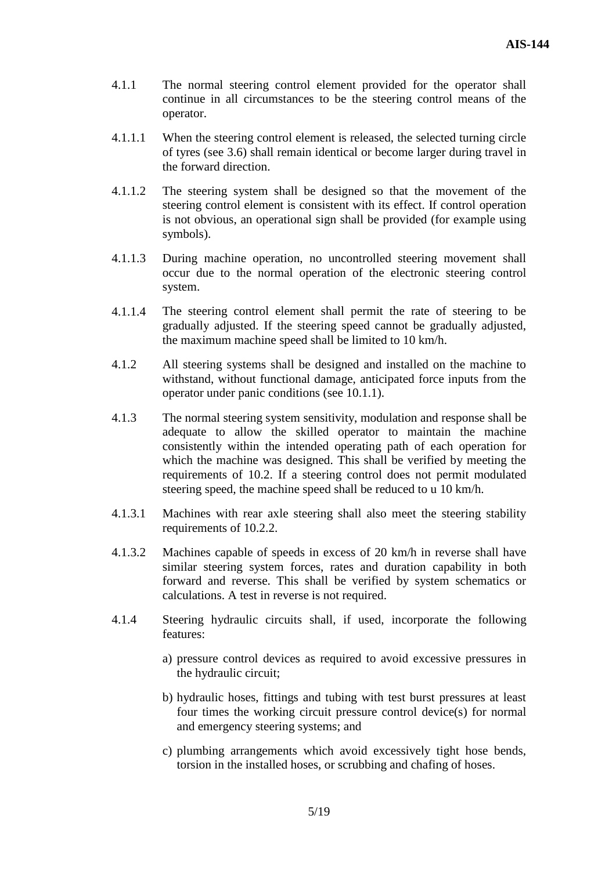- 4.1.1 The normal steering control element provided for the operator shall continue in all circumstances to be the steering control means of the operator.
- 4.1.1.1 When the steering control element is released, the selected turning circle of tyres (see 3.6) shall remain identical or become larger during travel in the forward direction.
- 4.1.1.2 The steering system shall be designed so that the movement of the steering control element is consistent with its effect. If control operation is not obvious, an operational sign shall be provided (for example using symbols).
- 4.1.1.3 During machine operation, no uncontrolled steering movement shall occur due to the normal operation of the electronic steering control system.
- 4.1.1.4 The steering control element shall permit the rate of steering to be gradually adjusted. If the steering speed cannot be gradually adjusted, the maximum machine speed shall be limited to 10 km/h.
- 4.1.2 All steering systems shall be designed and installed on the machine to withstand, without functional damage, anticipated force inputs from the operator under panic conditions (see 10.1.1).
- 4.1.3 The normal steering system sensitivity, modulation and response shall be adequate to allow the skilled operator to maintain the machine consistently within the intended operating path of each operation for which the machine was designed. This shall be verified by meeting the requirements of 10.2. If a steering control does not permit modulated steering speed, the machine speed shall be reduced to u 10 km/h.
- 4.1.3.1 Machines with rear axle steering shall also meet the steering stability requirements of 10.2.2.
- 4.1.3.2 Machines capable of speeds in excess of 20 km/h in reverse shall have similar steering system forces, rates and duration capability in both forward and reverse. This shall be verified by system schematics or calculations. A test in reverse is not required.
- 4.1.4 Steering hydraulic circuits shall, if used, incorporate the following features:
	- a) pressure control devices as required to avoid excessive pressures in the hydraulic circuit;
	- b) hydraulic hoses, fittings and tubing with test burst pressures at least four times the working circuit pressure control device(s) for normal and emergency steering systems; and
	- c) plumbing arrangements which avoid excessively tight hose bends, torsion in the installed hoses, or scrubbing and chafing of hoses.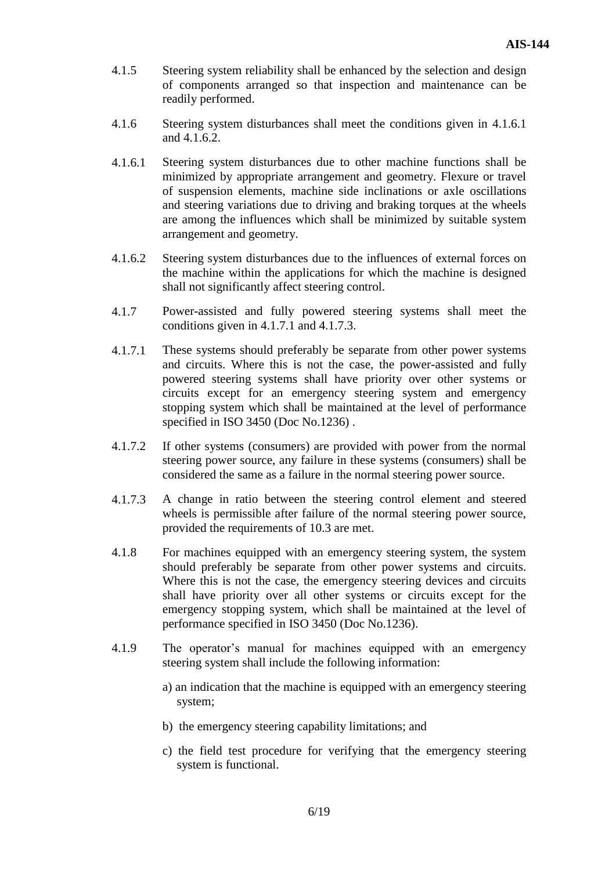- 4.1.5 Steering system reliability shall be enhanced by the selection and design of components arranged so that inspection and maintenance can be readily performed.
- 4.1.6 Steering system disturbances shall meet the conditions given in 4.1.6.1 and 4.1.6.2.
- 4.1.6.1 Steering system disturbances due to other machine functions shall be minimized by appropriate arrangement and geometry. Flexure or travel of suspension elements, machine side inclinations or axle oscillations and steering variations due to driving and braking torques at the wheels are among the influences which shall be minimized by suitable system arrangement and geometry.
- 4.1.6.2 Steering system disturbances due to the influences of external forces on the machine within the applications for which the machine is designed shall not significantly affect steering control.
- 4.1.7 Power-assisted and fully powered steering systems shall meet the conditions given in 4.1.7.1 and 4.1.7.3.
- 4.1.7.1 These systems should preferably be separate from other power systems and circuits. Where this is not the case, the power-assisted and fully powered steering systems shall have priority over other systems or circuits except for an emergency steering system and emergency stopping system which shall be maintained at the level of performance specified in ISO 3450 (Doc No.1236).
- 4.1.7.2 If other systems (consumers) are provided with power from the normal steering power source, any failure in these systems (consumers) shall be considered the same as a failure in the normal steering power source.
- 4.1.7.3 A change in ratio between the steering control element and steered wheels is permissible after failure of the normal steering power source, provided the requirements of 10.3 are met.
- 4.1.8 For machines equipped with an emergency steering system, the system should preferably be separate from other power systems and circuits. Where this is not the case, the emergency steering devices and circuits shall have priority over all other systems or circuits except for the emergency stopping system, which shall be maintained at the level of performance specified in ISO 3450 (Doc No.1236).
- 4.1.9 The operator's manual for machines equipped with an emergency steering system shall include the following information:
	- a) an indication that the machine is equipped with an emergency steering system;
	- b) the emergency steering capability limitations; and
	- c) the field test procedure for verifying that the emergency steering system is functional.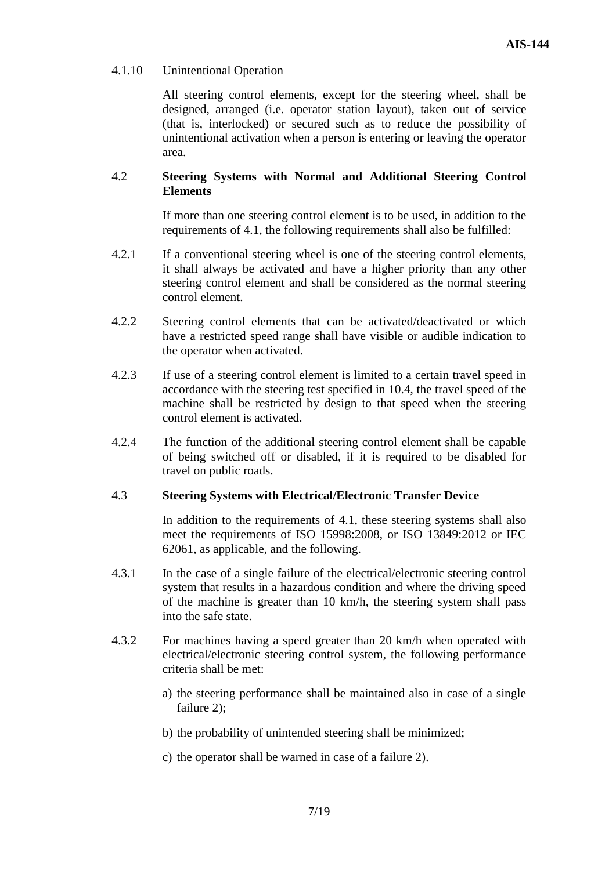## 4.1.10 Unintentional Operation

All steering control elements, except for the steering wheel, shall be designed, arranged (i.e. operator station layout), taken out of service (that is, interlocked) or secured such as to reduce the possibility of unintentional activation when a person is entering or leaving the operator area.

## 4.2 **Steering Systems with Normal and Additional Steering Control Elements**

If more than one steering control element is to be used, in addition to the requirements of 4.1, the following requirements shall also be fulfilled:

- 4.2.1 If a conventional steering wheel is one of the steering control elements, it shall always be activated and have a higher priority than any other steering control element and shall be considered as the normal steering control element.
- 4.2.2 Steering control elements that can be activated/deactivated or which have a restricted speed range shall have visible or audible indication to the operator when activated.
- 4.2.3 If use of a steering control element is limited to a certain travel speed in accordance with the steering test specified in 10.4, the travel speed of the machine shall be restricted by design to that speed when the steering control element is activated.
- 4.2.4 The function of the additional steering control element shall be capable of being switched off or disabled, if it is required to be disabled for travel on public roads.

#### 4.3 **Steering Systems with Electrical/Electronic Transfer Device**

In addition to the requirements of 4.1, these steering systems shall also meet the requirements of ISO 15998:2008, or ISO 13849:2012 or IEC 62061, as applicable, and the following.

- 4.3.1 In the case of a single failure of the electrical/electronic steering control system that results in a hazardous condition and where the driving speed of the machine is greater than 10 km/h, the steering system shall pass into the safe state.
- 4.3.2 For machines having a speed greater than 20 km/h when operated with electrical/electronic steering control system, the following performance criteria shall be met:
	- a) the steering performance shall be maintained also in case of a single failure 2):
	- b) the probability of unintended steering shall be minimized;
	- c) the operator shall be warned in case of a failure 2).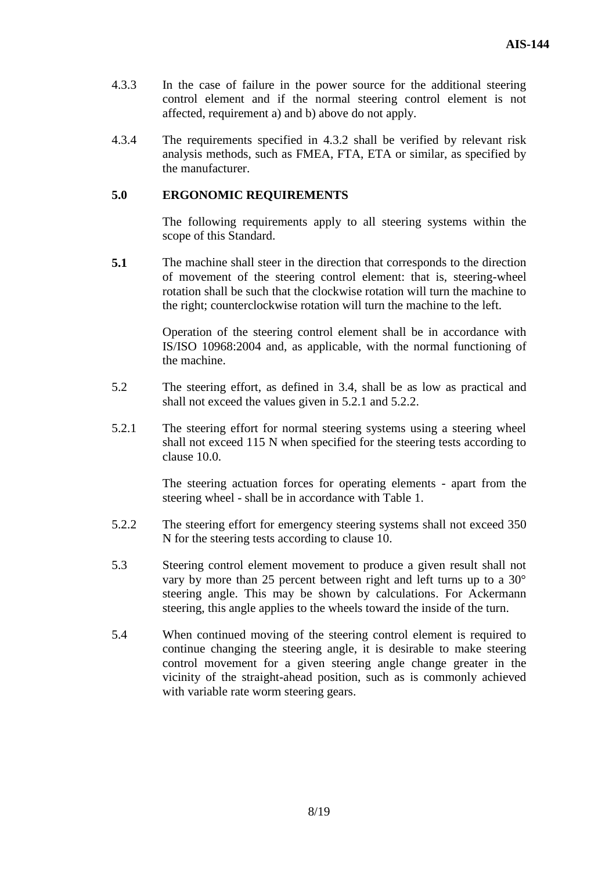- 4.3.3 In the case of failure in the power source for the additional steering control element and if the normal steering control element is not affected, requirement a) and b) above do not apply.
- 4.3.4 The requirements specified in 4.3.2 shall be verified by relevant risk analysis methods, such as FMEA, FTA, ETA or similar, as specified by the manufacturer.

## **5.0 ERGONOMIC REQUIREMENTS**

The following requirements apply to all steering systems within the scope of this Standard.

**5.1** The machine shall steer in the direction that corresponds to the direction of movement of the steering control element: that is, steering-wheel rotation shall be such that the clockwise rotation will turn the machine to the right; counterclockwise rotation will turn the machine to the left.

> Operation of the steering control element shall be in accordance with IS/ISO 10968:2004 and, as applicable, with the normal functioning of the machine.

- 5.2 The steering effort, as defined in 3.4, shall be as low as practical and shall not exceed the values given in 5.2.1 and 5.2.2.
- 5.2.1 The steering effort for normal steering systems using a steering wheel shall not exceed 115 N when specified for the steering tests according to clause 10.0.

The steering actuation forces for operating elements - apart from the steering wheel - shall be in accordance with Table 1.

- 5.2.2 The steering effort for emergency steering systems shall not exceed 350 N for the steering tests according to clause 10.
- 5.3 Steering control element movement to produce a given result shall not vary by more than 25 percent between right and left turns up to a 30° steering angle. This may be shown by calculations. For Ackermann steering, this angle applies to the wheels toward the inside of the turn.
- 5.4 When continued moving of the steering control element is required to continue changing the steering angle, it is desirable to make steering control movement for a given steering angle change greater in the vicinity of the straight-ahead position, such as is commonly achieved with variable rate worm steering gears.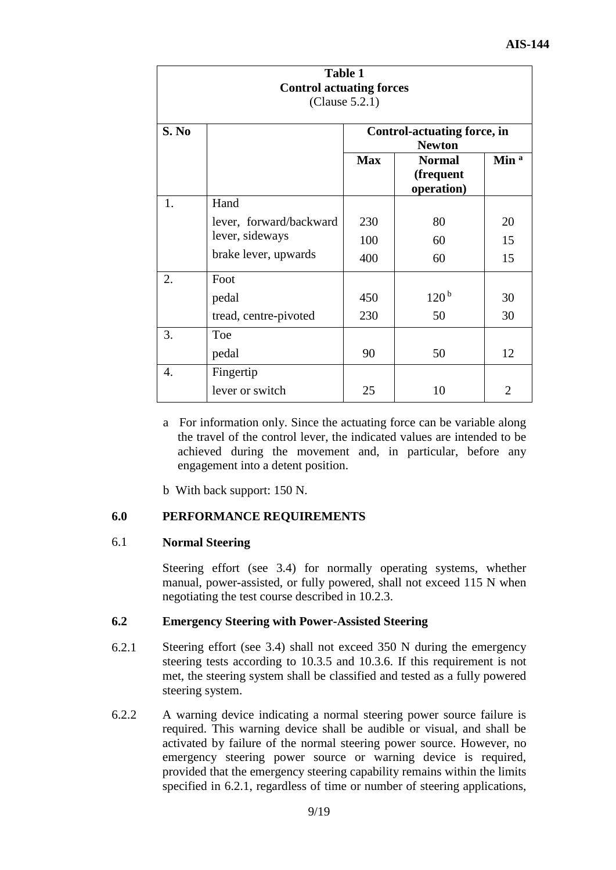| <b>Table 1</b><br><b>Control actuating forces</b><br>(Clause 5.2.1) |                         |            |                                                     |                  |  |
|---------------------------------------------------------------------|-------------------------|------------|-----------------------------------------------------|------------------|--|
| S. No                                                               |                         |            | <b>Control-actuating force, in</b><br><b>Newton</b> |                  |  |
|                                                                     |                         | <b>Max</b> | <b>Normal</b><br>(frequent<br>operation)            | Min <sup>a</sup> |  |
| 1.                                                                  | Hand                    |            |                                                     |                  |  |
|                                                                     | lever, forward/backward | 230        | 80                                                  | 20               |  |
|                                                                     | lever, sideways         | 100        | 60                                                  | 15               |  |
|                                                                     | brake lever, upwards    | 400        | 60                                                  | 15               |  |
| 2.                                                                  | Foot                    |            |                                                     |                  |  |
|                                                                     | pedal                   | 450        | 120 <sup>b</sup>                                    | 30               |  |
|                                                                     | tread, centre-pivoted   | 230        | 50                                                  | 30               |  |
| 3.                                                                  | Toe                     |            |                                                     |                  |  |
|                                                                     | pedal                   | 90         | 50                                                  | 12               |  |
| 4.                                                                  | Fingertip               |            |                                                     |                  |  |
|                                                                     | lever or switch         | 25         | 10                                                  | $\overline{2}$   |  |

- a For information only. Since the actuating force can be variable along the travel of the control lever, the indicated values are intended to be achieved during the movement and, in particular, before any engagement into a detent position.
- b With back support: 150 N.

## **6.0 PERFORMANCE REQUIREMENTS**

#### 6.1 **Normal Steering**

Steering effort (see 3.4) for normally operating systems, whether manual, power-assisted, or fully powered, shall not exceed 115 N when negotiating the test course described in 10.2.3.

#### **6.2 Emergency Steering with Power-Assisted Steering**

- 6.2.1 Steering effort (see 3.4) shall not exceed 350 N during the emergency steering tests according to 10.3.5 and 10.3.6. If this requirement is not met, the steering system shall be classified and tested as a fully powered steering system.
- 6.2.2 A warning device indicating a normal steering power source failure is required. This warning device shall be audible or visual, and shall be activated by failure of the normal steering power source. However, no emergency steering power source or warning device is required, provided that the emergency steering capability remains within the limits specified in 6.2.1, regardless of time or number of steering applications,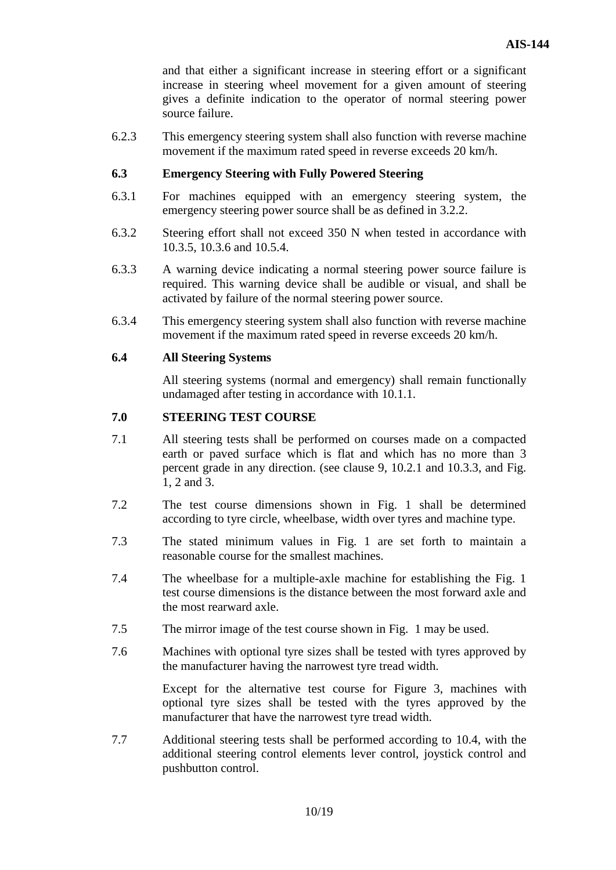and that either a significant increase in steering effort or a significant increase in steering wheel movement for a given amount of steering gives a definite indication to the operator of normal steering power source failure.

6.2.3 This emergency steering system shall also function with reverse machine movement if the maximum rated speed in reverse exceeds 20 km/h.

## **6.3 Emergency Steering with Fully Powered Steering**

- 6.3.1 For machines equipped with an emergency steering system, the emergency steering power source shall be as defined in 3.2.2.
- 6.3.2 Steering effort shall not exceed 350 N when tested in accordance with 10.3.5, 10.3.6 and 10.5.4.
- 6.3.3 A warning device indicating a normal steering power source failure is required. This warning device shall be audible or visual, and shall be activated by failure of the normal steering power source.
- 6.3.4 This emergency steering system shall also function with reverse machine movement if the maximum rated speed in reverse exceeds 20 km/h.

#### **6.4 All Steering Systems**

All steering systems (normal and emergency) shall remain functionally undamaged after testing in accordance with 10.1.1.

## **7.0 STEERING TEST COURSE**

- 7.1 All steering tests shall be performed on courses made on a compacted earth or paved surface which is flat and which has no more than 3 percent grade in any direction. (see clause 9, 10.2.1 and 10.3.3, and Fig. 1, 2 and 3.
- 7.2 The test course dimensions shown in Fig. 1 shall be determined according to tyre circle, wheelbase, width over tyres and machine type.
- 7.3 The stated minimum values in Fig. 1 are set forth to maintain a reasonable course for the smallest machines.
- 7.4 The wheelbase for a multiple-axle machine for establishing the Fig. 1 test course dimensions is the distance between the most forward axle and the most rearward axle.
- 7.5 The mirror image of the test course shown in Fig. 1 may be used.
- 7.6 Machines with optional tyre sizes shall be tested with tyres approved by the manufacturer having the narrowest tyre tread width.

Except for the alternative test course for Figure 3, machines with optional tyre sizes shall be tested with the tyres approved by the manufacturer that have the narrowest tyre tread width.

7.7 Additional steering tests shall be performed according to 10.4, with the additional steering control elements lever control, joystick control and pushbutton control.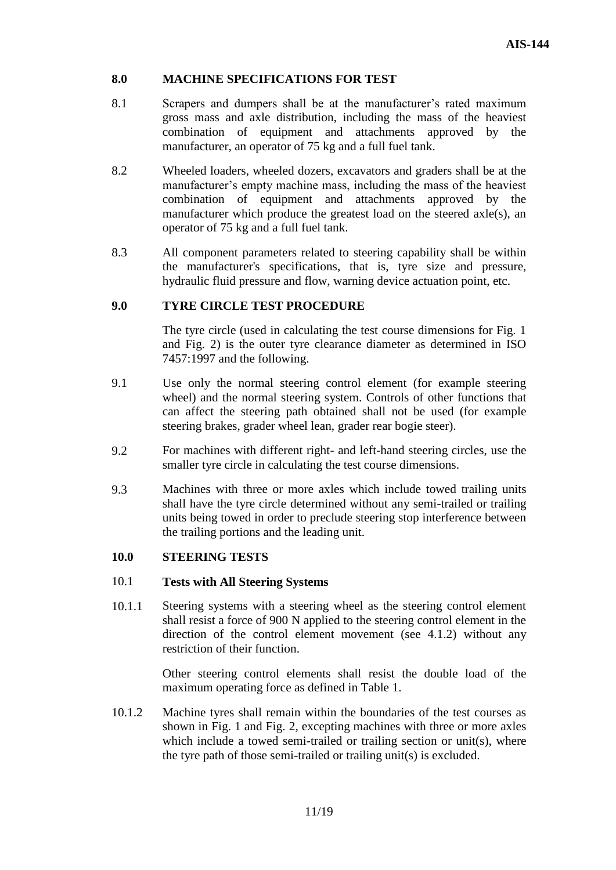## **8.0 MACHINE SPECIFICATIONS FOR TEST**

- 8.1 Scrapers and dumpers shall be at the manufacturer's rated maximum gross mass and axle distribution, including the mass of the heaviest combination of equipment and attachments approved by the manufacturer, an operator of 75 kg and a full fuel tank.
- 8.2 Wheeled loaders, wheeled dozers, excavators and graders shall be at the manufacturer's empty machine mass, including the mass of the heaviest combination of equipment and attachments approved by the manufacturer which produce the greatest load on the steered axle(s), an operator of 75 kg and a full fuel tank.
- 8.3 All component parameters related to steering capability shall be within the manufacturer's specifications, that is, tyre size and pressure, hydraulic fluid pressure and flow, warning device actuation point, etc.

## **9.0 TYRE CIRCLE TEST PROCEDURE**

The tyre circle (used in calculating the test course dimensions for Fig. 1 and Fig. 2) is the outer tyre clearance diameter as determined in ISO 7457:1997 and the following.

- 9.1 Use only the normal steering control element (for example steering wheel) and the normal steering system. Controls of other functions that can affect the steering path obtained shall not be used (for example steering brakes, grader wheel lean, grader rear bogie steer).
- 9.2 For machines with different right- and left-hand steering circles, use the smaller tyre circle in calculating the test course dimensions.
- 9.3 Machines with three or more axles which include towed trailing units shall have the tyre circle determined without any semi-trailed or trailing units being towed in order to preclude steering stop interference between the trailing portions and the leading unit.

#### **10.0 STEERING TESTS**

#### 10.1 **Tests with All Steering Systems**

10.1.1 Steering systems with a steering wheel as the steering control element shall resist a force of 900 N applied to the steering control element in the direction of the control element movement (see 4.1.2) without any restriction of their function.

> Other steering control elements shall resist the double load of the maximum operating force as defined in Table 1.

10.1.2 Machine tyres shall remain within the boundaries of the test courses as shown in Fig. 1 and Fig. 2, excepting machines with three or more axles which include a towed semi-trailed or trailing section or unit(s), where the tyre path of those semi-trailed or trailing unit(s) is excluded.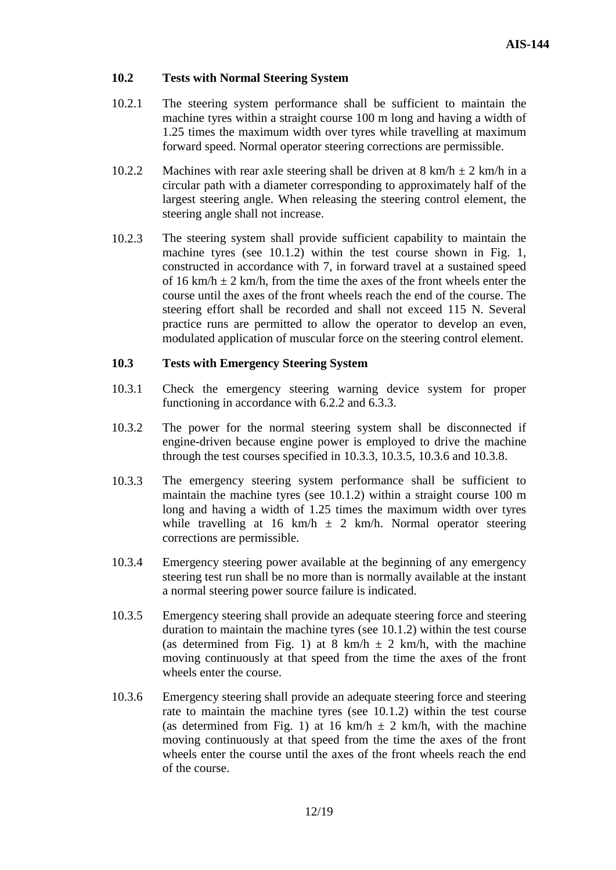## **10.2 Tests with Normal Steering System**

- 10.2.1 The steering system performance shall be sufficient to maintain the machine tyres within a straight course 100 m long and having a width of 1.25 times the maximum width over tyres while travelling at maximum forward speed. Normal operator steering corrections are permissible.
- 10.2.2 Machines with rear axle steering shall be driven at  $8 \text{ km/h} \pm 2 \text{ km/h}$  in a circular path with a diameter corresponding to approximately half of the largest steering angle. When releasing the steering control element, the steering angle shall not increase.
- 10.2.3 The steering system shall provide sufficient capability to maintain the machine tyres (see 10.1.2) within the test course shown in Fig. 1, constructed in accordance with 7, in forward travel at a sustained speed of 16 km/h  $\pm$  2 km/h, from the time the axes of the front wheels enter the course until the axes of the front wheels reach the end of the course. The steering effort shall be recorded and shall not exceed 115 N. Several practice runs are permitted to allow the operator to develop an even, modulated application of muscular force on the steering control element.

## **10.3 Tests with Emergency Steering System**

- 10.3.1 Check the emergency steering warning device system for proper functioning in accordance with 6.2.2 and 6.3.3.
- 10.3.2 The power for the normal steering system shall be disconnected if engine-driven because engine power is employed to drive the machine through the test courses specified in 10.3.3, 10.3.5, 10.3.6 and 10.3.8.
- 10.3.3 The emergency steering system performance shall be sufficient to maintain the machine tyres (see 10.1.2) within a straight course 100 m long and having a width of 1.25 times the maximum width over tyres while travelling at 16 km/h  $\pm$  2 km/h. Normal operator steering corrections are permissible.
- 10.3.4 Emergency steering power available at the beginning of any emergency steering test run shall be no more than is normally available at the instant a normal steering power source failure is indicated.
- 10.3.5 Emergency steering shall provide an adequate steering force and steering duration to maintain the machine tyres (see 10.1.2) within the test course (as determined from Fig. 1) at 8 km/h  $\pm$  2 km/h, with the machine moving continuously at that speed from the time the axes of the front wheels enter the course.
- 10.3.6 Emergency steering shall provide an adequate steering force and steering rate to maintain the machine tyres (see 10.1.2) within the test course (as determined from Fig. 1) at 16 km/h  $\pm$  2 km/h, with the machine moving continuously at that speed from the time the axes of the front wheels enter the course until the axes of the front wheels reach the end of the course.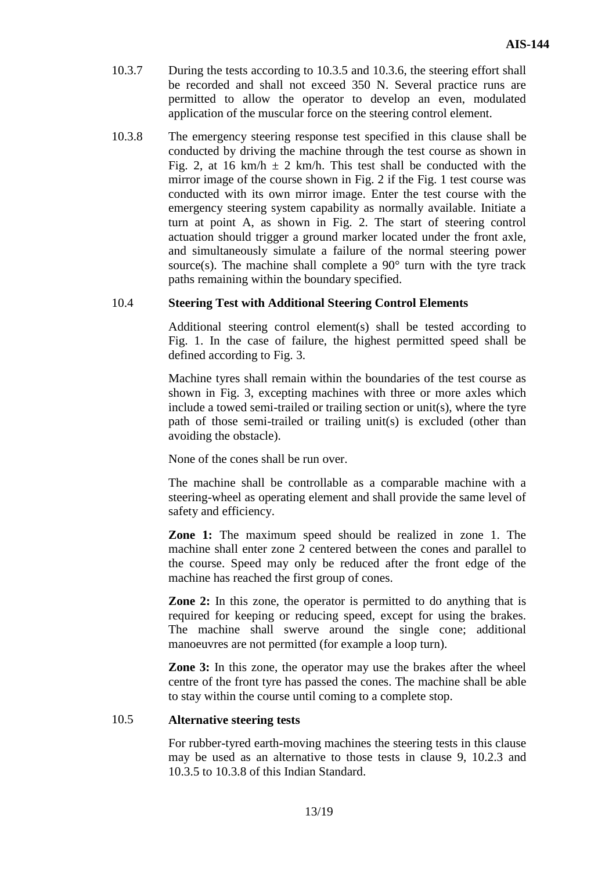- 10.3.7 During the tests according to 10.3.5 and 10.3.6, the steering effort shall be recorded and shall not exceed 350 N. Several practice runs are permitted to allow the operator to develop an even, modulated application of the muscular force on the steering control element.
- 10.3.8 The emergency steering response test specified in this clause shall be conducted by driving the machine through the test course as shown in Fig. 2, at 16 km/h  $\pm$  2 km/h. This test shall be conducted with the mirror image of the course shown in Fig. 2 if the Fig. 1 test course was conducted with its own mirror image. Enter the test course with the emergency steering system capability as normally available. Initiate a turn at point A, as shown in Fig. 2. The start of steering control actuation should trigger a ground marker located under the front axle, and simultaneously simulate a failure of the normal steering power source(s). The machine shall complete a  $90^{\circ}$  turn with the tyre track paths remaining within the boundary specified.

## 10.4 **Steering Test with Additional Steering Control Elements**

Additional steering control element(s) shall be tested according to Fig. 1. In the case of failure, the highest permitted speed shall be defined according to Fig. 3.

Machine tyres shall remain within the boundaries of the test course as shown in Fig. 3, excepting machines with three or more axles which include a towed semi-trailed or trailing section or unit(s), where the tyre path of those semi-trailed or trailing unit(s) is excluded (other than avoiding the obstacle).

None of the cones shall be run over.

The machine shall be controllable as a comparable machine with a steering-wheel as operating element and shall provide the same level of safety and efficiency.

**Zone 1:** The maximum speed should be realized in zone 1. The machine shall enter zone 2 centered between the cones and parallel to the course. Speed may only be reduced after the front edge of the machine has reached the first group of cones.

**Zone 2:** In this zone, the operator is permitted to do anything that is required for keeping or reducing speed, except for using the brakes. The machine shall swerve around the single cone; additional manoeuvres are not permitted (for example a loop turn).

**Zone 3:** In this zone, the operator may use the brakes after the wheel centre of the front tyre has passed the cones. The machine shall be able to stay within the course until coming to a complete stop.

#### 10.5 **Alternative steering tests**

For rubber-tyred earth-moving machines the steering tests in this clause may be used as an alternative to those tests in clause 9, 10.2.3 and 10.3.5 to 10.3.8 of this Indian Standard.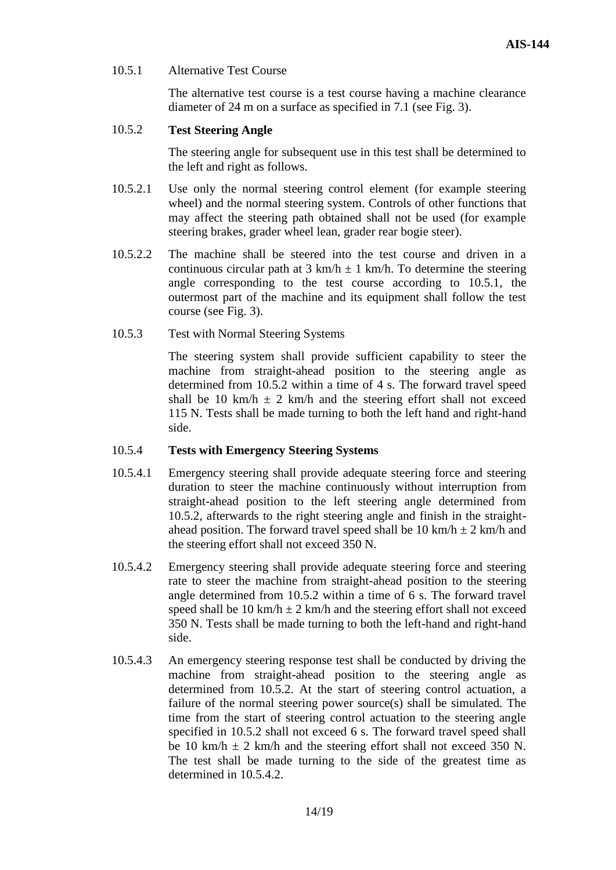## 10.5.1 Alternative Test Course

The alternative test course is a test course having a machine clearance diameter of 24 m on a surface as specified in 7.1 (see Fig. 3).

### 10.5.2 **Test Steering Angle**

The steering angle for subsequent use in this test shall be determined to the left and right as follows.

- 10.5.2.1 Use only the normal steering control element (for example steering wheel) and the normal steering system. Controls of other functions that may affect the steering path obtained shall not be used (for example steering brakes, grader wheel lean, grader rear bogie steer).
- 10.5.2.2 The machine shall be steered into the test course and driven in a continuous circular path at 3 km/h  $\pm$  1 km/h. To determine the steering angle corresponding to the test course according to 10.5.1, the outermost part of the machine and its equipment shall follow the test course (see Fig. 3).
- 10.5.3 Test with Normal Steering Systems

The steering system shall provide sufficient capability to steer the machine from straight-ahead position to the steering angle as determined from 10.5.2 within a time of 4 s. The forward travel speed shall be 10 km/h  $\pm$  2 km/h and the steering effort shall not exceed 115 N. Tests shall be made turning to both the left hand and right-hand side.

## 10.5.4 **Tests with Emergency Steering Systems**

- 10.5.4.1 Emergency steering shall provide adequate steering force and steering duration to steer the machine continuously without interruption from straight-ahead position to the left steering angle determined from 10.5.2, afterwards to the right steering angle and finish in the straightahead position. The forward travel speed shall be 10 km/h  $\pm$  2 km/h and the steering effort shall not exceed 350 N.
- 10.5.4.2 Emergency steering shall provide adequate steering force and steering rate to steer the machine from straight-ahead position to the steering angle determined from 10.5.2 within a time of 6 s. The forward travel speed shall be 10 km/h  $\pm$  2 km/h and the steering effort shall not exceed 350 N. Tests shall be made turning to both the left-hand and right-hand side.
- 10.5.4.3 An emergency steering response test shall be conducted by driving the machine from straight-ahead position to the steering angle as determined from 10.5.2. At the start of steering control actuation, a failure of the normal steering power source(s) shall be simulated. The time from the start of steering control actuation to the steering angle specified in 10.5.2 shall not exceed 6 s. The forward travel speed shall be 10 km/h  $\pm$  2 km/h and the steering effort shall not exceed 350 N. The test shall be made turning to the side of the greatest time as determined in 10.5.4.2.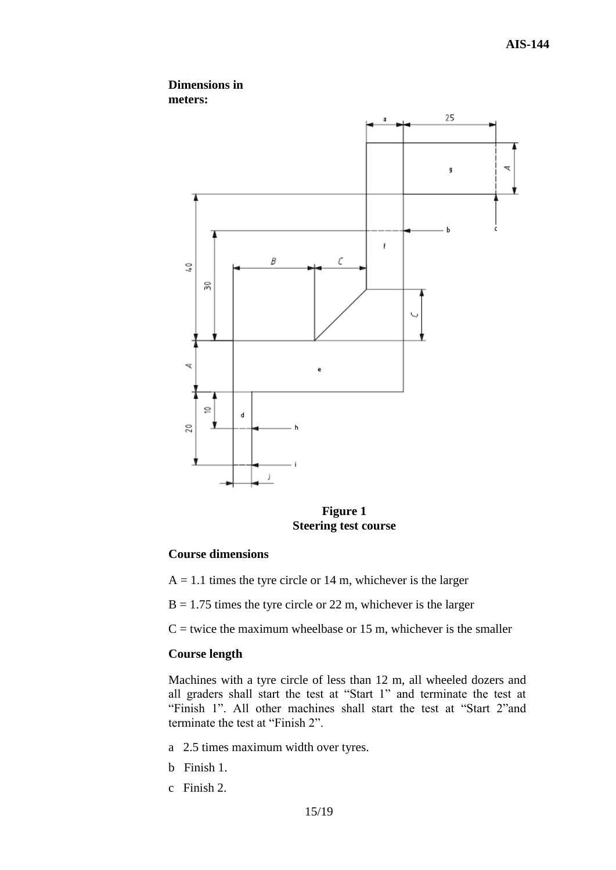

**Figure 1 Steering test course**

#### **Course dimensions**

- $A = 1.1$  times the tyre circle or 14 m, whichever is the larger
- $B = 1.75$  times the tyre circle or 22 m, whichever is the larger
- $C$  = twice the maximum wheelbase or 15 m, whichever is the smaller

#### **Course length**

Machines with a tyre circle of less than 12 m, all wheeled dozers and all graders shall start the test at "Start 1" and terminate the test at "Finish 1". All other machines shall start the test at "Start 2"and terminate the test at "Finish 2".

- a 2.5 times maximum width over tyres.
- b Finish 1.
- c Finish 2.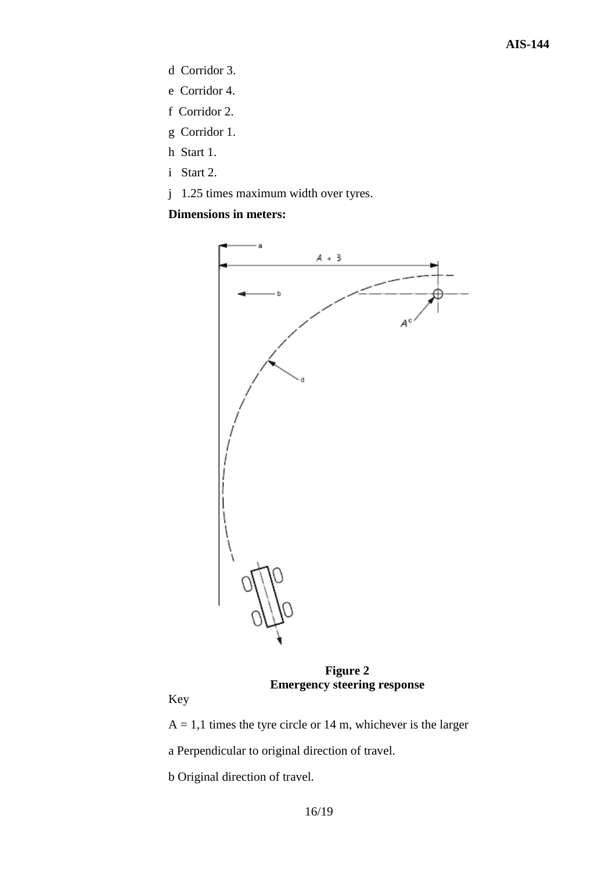- d Corridor 3.
- e Corridor 4.
- f Corridor 2.
- g Corridor 1.
- h Start 1.
- i Start 2.
- j 1.25 times maximum width over tyres.

## **Dimensions in meters:**



**Figure 2 Emergency steering response**

Key

 $A = 1,1$  times the tyre circle or 14 m, whichever is the larger

a Perpendicular to original direction of travel.

b Original direction of travel.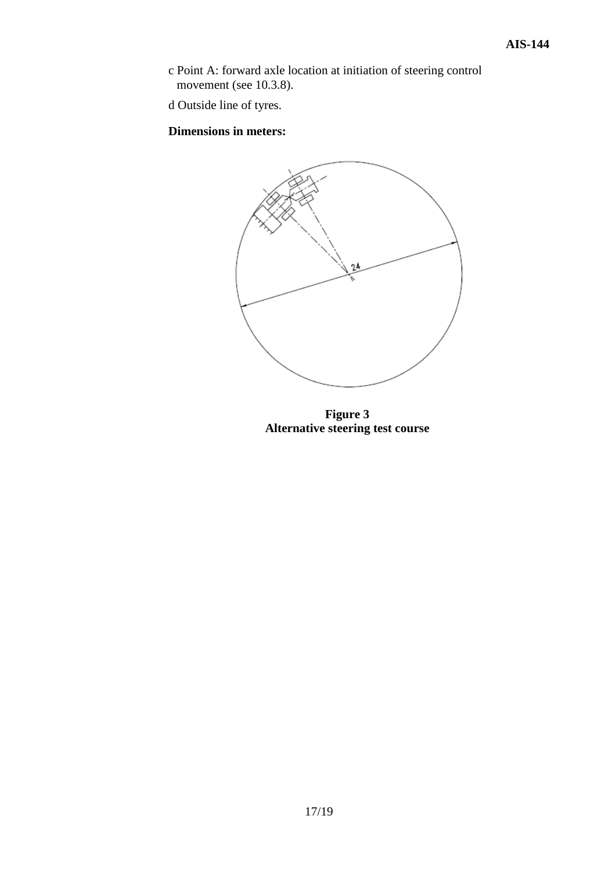c Point A: forward axle location at initiation of steering control movement (see 10.3.8).

d Outside line of tyres.

**Dimensions in meters:**



**Figure 3 Alternative steering test course**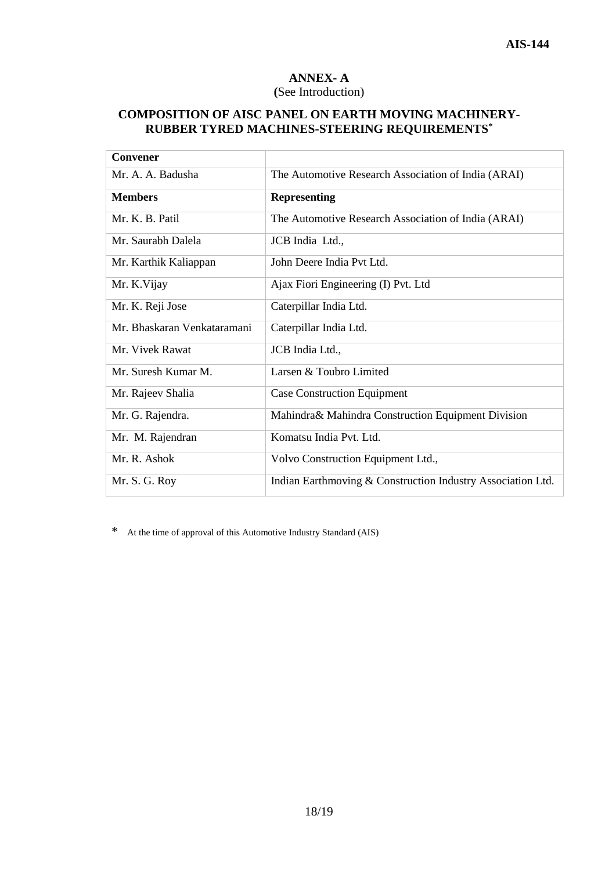## **ANNEX- A (**See Introduction)

## **COMPOSITION OF AISC PANEL ON EARTH MOVING MACHINERY-RUBBER TYRED MACHINES-STEERING REQUIREMENTS\***

| Convener                    |                                                             |
|-----------------------------|-------------------------------------------------------------|
| Mr. A. A. Badusha           | The Automotive Research Association of India (ARAI)         |
| <b>Members</b>              | <b>Representing</b>                                         |
| Mr. K. B. Patil             | The Automotive Research Association of India (ARAI)         |
| Mr. Saurabh Dalela          | JCB India Ltd.,                                             |
| Mr. Karthik Kaliappan       | John Deere India Pvt Ltd.                                   |
| Mr. K.Vijay                 | Ajax Fiori Engineering (I) Pvt. Ltd                         |
| Mr. K. Reji Jose            | Caterpillar India Ltd.                                      |
| Mr. Bhaskaran Venkataramani | Caterpillar India Ltd.                                      |
| Mr. Vivek Rawat             | JCB India Ltd.,                                             |
| Mr. Suresh Kumar M.         | Larsen & Toubro Limited                                     |
| Mr. Rajeev Shalia           | <b>Case Construction Equipment</b>                          |
| Mr. G. Rajendra.            | Mahindra& Mahindra Construction Equipment Division          |
| Mr. M. Rajendran            | Komatsu India Pvt. Ltd.                                     |
| Mr. R. Ashok                | Volvo Construction Equipment Ltd.,                          |
| Mr. S. G. Roy               | Indian Earthmoving & Construction Industry Association Ltd. |

\* At the time of approval of this Automotive Industry Standard (AIS)